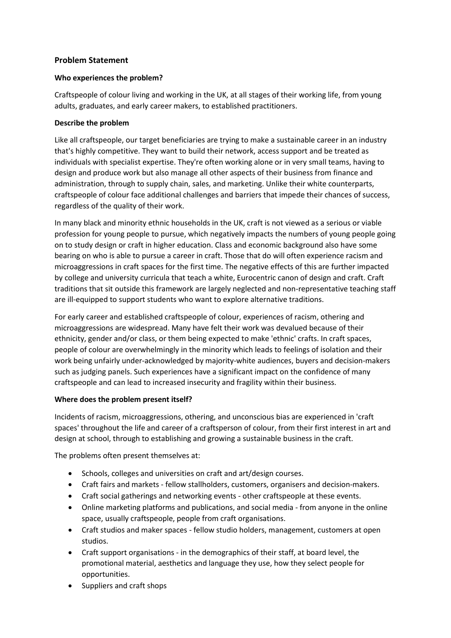# **Problem Statement**

### **Who experiences the problem?**

Craftspeople of colour living and working in the UK, at all stages of their working life, from young adults, graduates, and early career makers, to established practitioners.

### **Describe the problem**

Like all craftspeople, our target beneficiaries are trying to make a sustainable career in an industry that's highly competitive. They want to build their network, access support and be treated as individuals with specialist expertise. They're often working alone or in very small teams, having to design and produce work but also manage all other aspects of their business from finance and administration, through to supply chain, sales, and marketing. Unlike their white counterparts, craftspeople of colour face additional challenges and barriers that impede their chances of success, regardless of the quality of their work.

In many black and minority ethnic households in the UK, craft is not viewed as a serious or viable profession for young people to pursue, which negatively impacts the numbers of young people going on to study design or craft in higher education. Class and economic background also have some bearing on who is able to pursue a career in craft. Those that do will often experience racism and microaggressions in craft spaces for the first time. The negative effects of this are further impacted by college and university curricula that teach a white, Eurocentric canon of design and craft. Craft traditions that sit outside this framework are largely neglected and non-representative teaching staff are ill-equipped to support students who want to explore alternative traditions.

For early career and established craftspeople of colour, experiences of racism, othering and microaggressions are widespread. Many have felt their work was devalued because of their ethnicity, gender and/or class, or them being expected to make 'ethnic' crafts. In craft spaces, people of colour are overwhelmingly in the minority which leads to feelings of isolation and their work being unfairly under-acknowledged by majority-white audiences, buyers and decision-makers such as judging panels. Such experiences have a significant impact on the confidence of many craftspeople and can lead to increased insecurity and fragility within their business.

# **Where does the problem present itself?**

Incidents of racism, microaggressions, othering, and unconscious bias are experienced in 'craft spaces' throughout the life and career of a craftsperson of colour, from their first interest in art and design at school, through to establishing and growing a sustainable business in the craft.

The problems often present themselves at:

- Schools, colleges and universities on craft and art/design courses.
- Craft fairs and markets fellow stallholders, customers, organisers and decision-makers.
- Craft social gatherings and networking events other craftspeople at these events.
- Online marketing platforms and publications, and social media from anyone in the online space, usually craftspeople, people from craft organisations.
- Craft studios and maker spaces fellow studio holders, management, customers at open studios.
- Craft support organisations in the demographics of their staff, at board level, the promotional material, aesthetics and language they use, how they select people for opportunities.
- Suppliers and craft shops